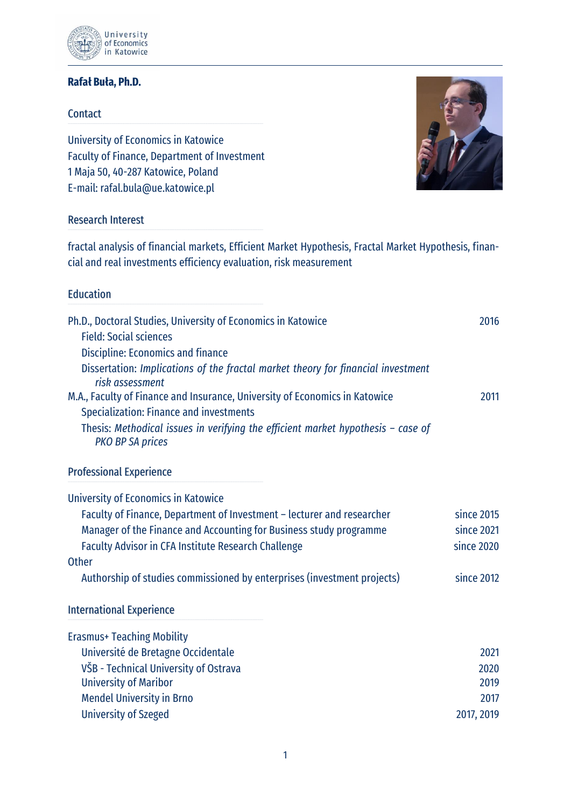

## **Rafał Buła, Ph.D.**

#### **Contact**

University of Economics in Katowice Faculty of Finance, Department of Investment 1 Maja 50, 40-287 Katowice, Poland E-mail: [rafal.bula@ue.katowice.pl](mailto:rafal.bula@ue.katowice.pl)



### Research Interest

fractal analysis of financial markets, Efficient Market Hypothesis, Fractal Market Hypothesis, financial and real investments efficiency evaluation, risk measurement

### **Education**

| Ph.D., Doctoral Studies, University of Economics in Katowice<br><b>Field: Social sciences</b><br>Discipline: Economics and finance | 2016       |
|------------------------------------------------------------------------------------------------------------------------------------|------------|
| Dissertation: Implications of the fractal market theory for financial investment<br>risk assessment                                |            |
| M.A., Faculty of Finance and Insurance, University of Economics in Katowice<br><b>Specialization: Finance and investments</b>      | 2011       |
| Thesis: Methodical issues in verifying the efficient market hypothesis $-$ case of<br><b>PKO BP SA prices</b>                      |            |
| <b>Professional Experience</b>                                                                                                     |            |
| University of Economics in Katowice                                                                                                |            |
| Faculty of Finance, Department of Investment - lecturer and researcher                                                             | since 2015 |
| Manager of the Finance and Accounting for Business study programme                                                                 | since 2021 |
| <b>Faculty Advisor in CFA Institute Research Challenge</b>                                                                         | since 2020 |
| <b>Other</b>                                                                                                                       |            |
| Authorship of studies commissioned by enterprises (investment projects)                                                            | since 2012 |
| <b>International Experience</b>                                                                                                    |            |
| <b>Erasmus+ Teaching Mobility</b>                                                                                                  |            |
| Université de Bretagne Occidentale                                                                                                 | 2021       |
| VŠB - Technical University of Ostrava                                                                                              | 2020       |
| <b>University of Maribor</b>                                                                                                       | 2019       |
| <b>Mendel University in Brno</b>                                                                                                   | 2017       |
| <b>University of Szeged</b>                                                                                                        | 2017, 2019 |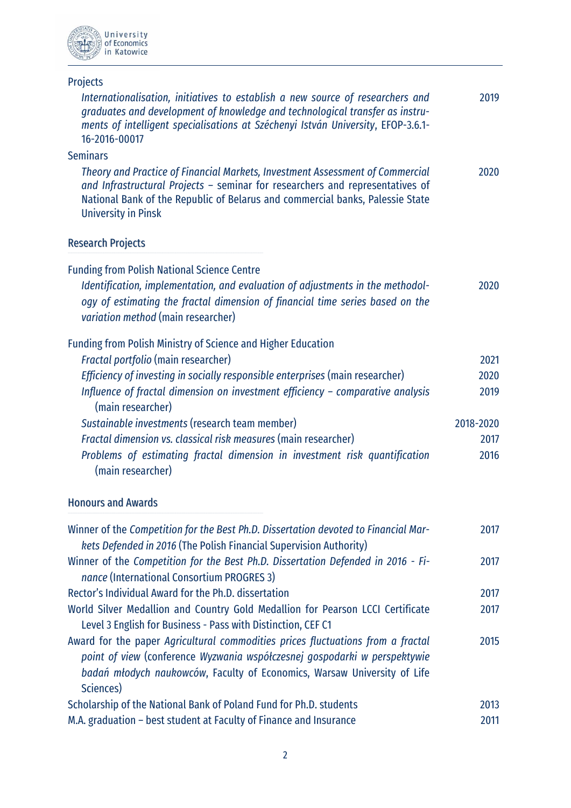

# Projects

| Internationalisation, initiatives to establish a new source of researchers and<br>graduates and development of knowledge and technological transfer as instru-<br>ments of intelligent specialisations at Széchenyi István University, EFOP-3.6.1-<br>16-2016-00017           | 2019      |
|-------------------------------------------------------------------------------------------------------------------------------------------------------------------------------------------------------------------------------------------------------------------------------|-----------|
| <b>Seminars</b>                                                                                                                                                                                                                                                               |           |
| Theory and Practice of Financial Markets, Investment Assessment of Commercial<br>and Infrastructural Projects - seminar for researchers and representatives of<br>National Bank of the Republic of Belarus and commercial banks, Palessie State<br><b>University in Pinsk</b> | 2020      |
| <b>Research Projects</b>                                                                                                                                                                                                                                                      |           |
| <b>Funding from Polish National Science Centre</b><br>Identification, implementation, and evaluation of adjustments in the methodol-<br>ogy of estimating the fractal dimension of financial time series based on the<br>variation method (main researcher)                   | 2020      |
| <b>Funding from Polish Ministry of Science and Higher Education</b>                                                                                                                                                                                                           |           |
| Fractal portfolio (main researcher)                                                                                                                                                                                                                                           | 2021      |
| Efficiency of investing in socially responsible enterprises (main researcher)                                                                                                                                                                                                 | 2020      |
| Influence of fractal dimension on investment efficiency - comparative analysis<br>(main researcher)                                                                                                                                                                           | 2019      |
| Sustainable investments (research team member)                                                                                                                                                                                                                                | 2018-2020 |
| Fractal dimension vs. classical risk measures (main researcher)                                                                                                                                                                                                               | 2017      |
| Problems of estimating fractal dimension in investment risk quantification<br>(main researcher)                                                                                                                                                                               | 2016      |
| <b>Honours and Awards</b>                                                                                                                                                                                                                                                     |           |
| Winner of the Competition for the Best Ph.D. Dissertation devoted to Financial Mar-<br>kets Defended in 2016 (The Polish Financial Supervision Authority)                                                                                                                     | 2017      |

| kets Defended in 2016 (The Polish Financial Supervision Authority)               |      |
|----------------------------------------------------------------------------------|------|
| Winner of the Competition for the Best Ph.D. Dissertation Defended in 2016 - Fi- | 2017 |
| nance (International Consortium PROGRES 3)                                       |      |
| Rector's Individual Award for the Ph.D. dissertation                             | 2017 |
| World Silver Medallion and Country Gold Medallion for Pearson LCCI Certificate   | 2017 |
| Level 3 English for Business - Pass with Distinction, CEF C1                     |      |
| Award for the paper Agricultural commodities prices fluctuations from a fractal  | 2015 |
| point of view (conference Wyzwania współczesnej gospodarki w perspektywie        |      |
| badań młodych naukowców, Faculty of Economics, Warsaw University of Life         |      |
| Sciences)                                                                        |      |
| Scholarship of the National Bank of Poland Fund for Ph.D. students               | 2013 |
| M.A. graduation – best student at Faculty of Finance and Insurance               | 2011 |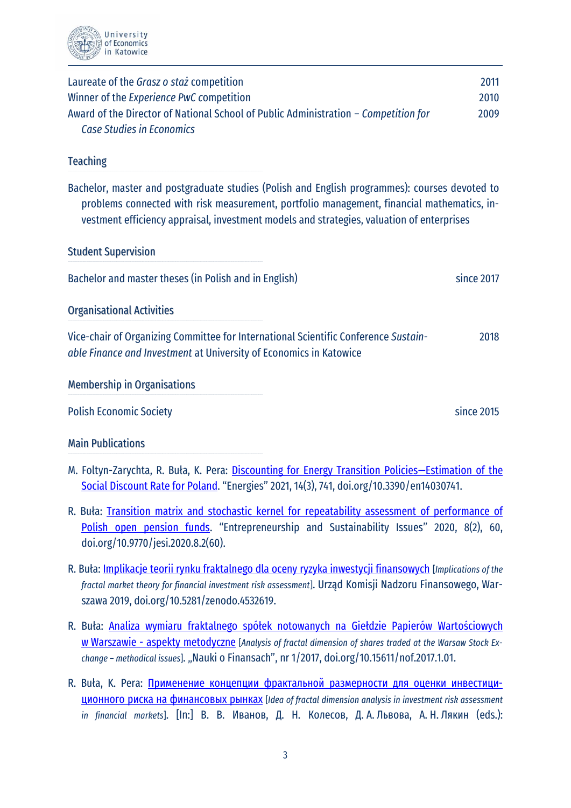

| Laureate of the Grasz o staż competition<br>Winner of the Experience PwC competition<br>Award of the Director of National School of Public Administration - Competition for<br><b>Case Studies in Economics</b>                                                                          | 2011<br>2010<br>2009 |  |
|------------------------------------------------------------------------------------------------------------------------------------------------------------------------------------------------------------------------------------------------------------------------------------------|----------------------|--|
| <b>Teaching</b>                                                                                                                                                                                                                                                                          |                      |  |
| Bachelor, master and postgraduate studies (Polish and English programmes): courses devoted to<br>problems connected with risk measurement, portfolio management, financial mathematics, in-<br>vestment efficiency appraisal, investment models and strategies, valuation of enterprises |                      |  |
| <b>Student Supervision</b>                                                                                                                                                                                                                                                               |                      |  |
| Bachelor and master theses (in Polish and in English)                                                                                                                                                                                                                                    | since 2017           |  |
| <b>Organisational Activities</b>                                                                                                                                                                                                                                                         |                      |  |
| Vice-chair of Organizing Committee for International Scientific Conference Sustain-<br>able Finance and Investment at University of Economics in Katowice                                                                                                                                | 2018                 |  |
| <b>Membership in Organisations</b>                                                                                                                                                                                                                                                       |                      |  |
| <b>Polish Economic Society</b>                                                                                                                                                                                                                                                           | since 2015           |  |
| <b>Main Publications</b>                                                                                                                                                                                                                                                                 |                      |  |
| M. Foltyn-Zarychta, R. Buła, K. Pera: Discounting for Energy Transition Policies-Estimation of the<br>Social Discount Rate for Poland. "Energies" 2021, 14(3), 741, doi.org/10.3390/en14030741.                                                                                          |                      |  |

- R. Buła: [Transition matrix and stochastic kernel for repeatability assessment of performance of](http://jssidoi.org/jesi/uploads/articles/30/Bula_Transition_matrix_and_stochastic_kernel_for_repeatability_assessment_of_performance_of_Polish_open_pension_funds.pdf)  [Polish open pension funds](http://jssidoi.org/jesi/uploads/articles/30/Bula_Transition_matrix_and_stochastic_kernel_for_repeatability_assessment_of_performance_of_Polish_open_pension_funds.pdf). "Entrepreneurship and Sustainability Issues" 2020, 8(2), 60, doi.org/10.9770/jesi.2020.8.2(60).
- R. Buła: [Implikacje teorii rynku fraktalnego dla oceny ryzyka inwestycji finansowych](https://www.researchgate.net/profile/Rafal_Bula/publication/334591500_IMPLIKACJE_TEORII_RYNKU_FRAKTALNEGO_DLA_OCENY_RYZYKA_INWESTYCJI_FINANSOWYCH/links/5d33204f299bf1995b39e9bc/IMPLIKACJE-TEORII-RYNKU-FRAKTALNEGO-DLA-OCENY-RYZYKA-INWESTYCJI-FINANSOWYCH.pdf) [*Implications of the fractal market theory for financial investment risk assessment*]. Urząd Komisji Nadzoru Finansowego, Warszawa 2019, doi.org/10.5281/zenodo.4532619.
- R. Buła: [Analiza wymiaru fraktalnego spółek notowanych na Giełdzie Papierów Wartościowyc](https://www.researchgate.net/profile/Rafal_Bula/publication/321747734_ANALIZA_WYMIARU_FRAKTALNEGO_SPOLEK_NOTOWANYCH_NA_GIELDZIE_PAPIEROW_WARTOSCIOWYCH_W_WARSZAWIE_-_ASPEKTY_METODYCZNE/links/5a2f931f4585155b617a4cca/ANALIZA-WYMIARU-FRAKTALNEGO-SPOLEK-NOTOWA)h w Warszawie - [aspekty metodyczne](https://www.researchgate.net/profile/Rafal_Bula/publication/321747734_ANALIZA_WYMIARU_FRAKTALNEGO_SPOLEK_NOTOWANYCH_NA_GIELDZIE_PAPIEROW_WARTOSCIOWYCH_W_WARSZAWIE_-_ASPEKTY_METODYCZNE/links/5a2f931f4585155b617a4cca/ANALIZA-WYMIARU-FRAKTALNEGO-SPOLEK-NOTOWA) [*Analysis of fractal dimension of shares traded at the Warsaw Stock Exchange – methodical issues*]. "Nauki o Finansach", nr 1/2017, doi.org/10.15611/nof.2017.1.01.
- R. Buła, K. Pera: Применение концепции [фрактальной](https://www.researchgate.net/profile/Rafal_Bula/publication/307907532_PRIMENENIE_KONCEPCII_FRAKTALNOJ_RAZMERNOSTI_DLA_OCENKI_INVESTICIONNOGO_RISKA_NA_FINANSOVYH_RYNKAH/links/57d1617c08ae601b39a1c671/PRIMENENIE-KONCEPCII-FRAKTALNOJ-RAZMERNOSTI-DLA-OCENKI-IN) размерности для оценки инвестициционного риска на [финансовых](https://www.researchgate.net/profile/Rafal_Bula/publication/307907532_PRIMENENIE_KONCEPCII_FRAKTALNOJ_RAZMERNOSTI_DLA_OCENKI_INVESTICIONNOGO_RISKA_NA_FINANSOVYH_RYNKAH/links/57d1617c08ae601b39a1c671/PRIMENENIE-KONCEPCII-FRAKTALNOJ-RAZMERNOSTI-DLA-OCENKI-IN) рынках [*Idea of fractal dimension analysis in investment risk assessment in financial markets*]. [In:] В. В. Иванов, Д. Н. Колесов, Д. А. Львова, А. Н. Лякин (eds.):